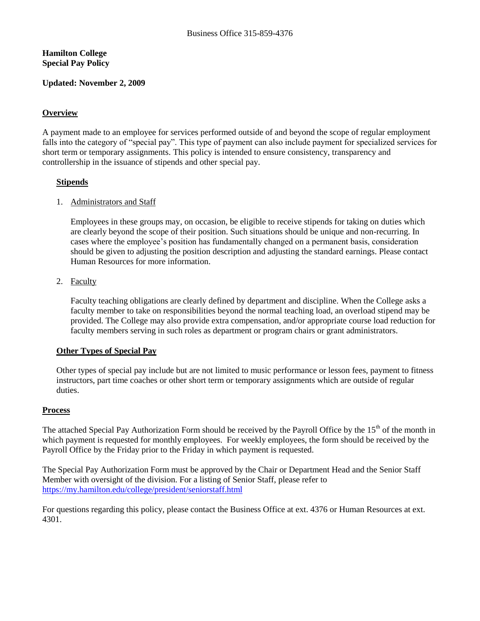## **Hamilton College Special Pay Policy**

#### **Updated: November 2, 2009**

## **Overview**

A payment made to an employee for services performed outside of and beyond the scope of regular employment falls into the category of "special pay". This type of payment can also include payment for specialized services for short term or temporary assignments. This policy is intended to ensure consistency, transparency and controllership in the issuance of stipends and other special pay.

### **Stipends**

#### 1. Administrators and Staff

Employees in these groups may, on occasion, be eligible to receive stipends for taking on duties which are clearly beyond the scope of their position. Such situations should be unique and non-recurring. In cases where the employee's position has fundamentally changed on a permanent basis, consideration should be given to adjusting the position description and adjusting the standard earnings. Please contact Human Resources for more information.

#### 2. Faculty

Faculty teaching obligations are clearly defined by department and discipline. When the College asks a faculty member to take on responsibilities beyond the normal teaching load, an overload stipend may be provided. The College may also provide extra compensation, and/or appropriate course load reduction for faculty members serving in such roles as department or program chairs or grant administrators.

#### **Other Types of Special Pay**

Other types of special pay include but are not limited to music performance or lesson fees, payment to fitness instructors, part time coaches or other short term or temporary assignments which are outside of regular duties.

#### **Process**

The attached Special Pay Authorization Form should be received by the Payroll Office by the  $15<sup>th</sup>$  of the month in which payment is requested for monthly employees. For weekly employees, the form should be received by the Payroll Office by the Friday prior to the Friday in which payment is requested.

The Special Pay Authorization Form must be approved by the Chair or Department Head and the Senior Staff Member with oversight of the division. For a listing of Senior Staff, please refer to <https://my.hamilton.edu/college/president/seniorstaff.html>

For questions regarding this policy, please contact the Business Office at ext. 4376 or Human Resources at ext. 4301.